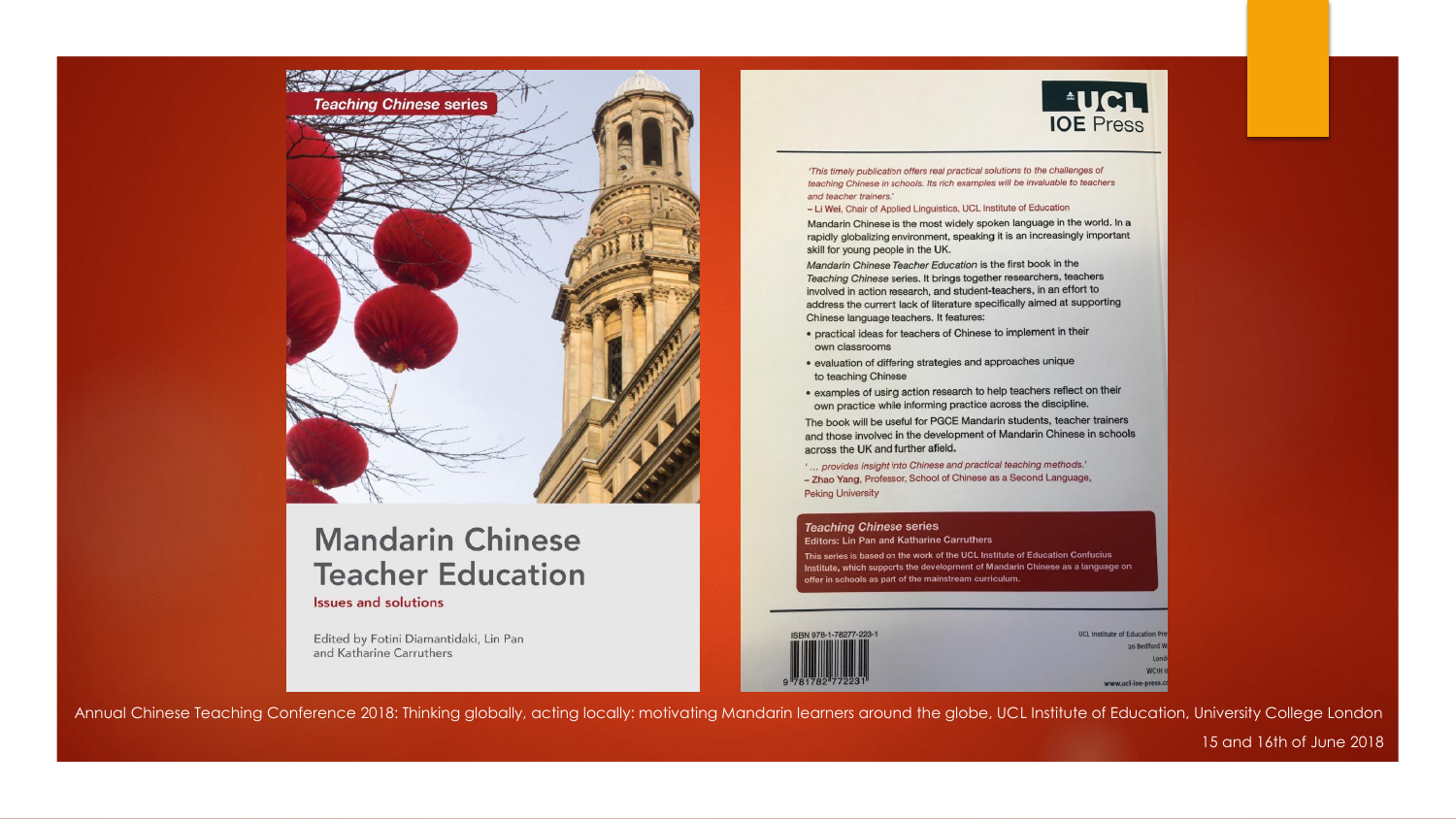

### **Mandarin Chinese Teacher Education**

**Issues and solutions** 

Edited by Fotini Diamantidaki, Lin Pan and Katharine Carruthers



'This timely publication offers real practical solutions to the challenges of teaching Chinese in schools. Its rich examples will be invaluable to teachers and teacher trainers.'

#### - Li Wei, Chair of Applied Linguistics, UCL Institute of Education

Mandarin Chinese is the most widely spoken language in the world. In a rapidly globalizing environment, speaking it is an increasingly important skill for young people in the UK.

Mandarin Chinese Teacher Education is the first book in the Teaching Chinese series. It brings together researchers, teachers involved in action research, and student-teachers, in an effort to address the current lack of literature specifically aimed at supporting Chinese language teachers. It features:

- · practical ideas for teachers of Chinese to implement in their own classrooms
- · evaluation of differing strategies and approaches unique to teaching Chinese
- · examples of using action research to help teachers reflect on their own practice while informing practice across the discipline.

The book will be useful for PGCE Mandarin students, teacher trainers and those involved in the development of Mandarin Chinese in schools across the UK and further afield.

'... provides insight into Chinese and practical teaching methods.' - Zhao Yang, Professor, School of Chinese as a Second Language, **Peking University** 

#### **Teaching Chinese series**

**Editors: Lin Pan and Katharine Carruthers** This series is based on the work of the UCL Institute of Education Confucius nstitute, which supports the development of Mandarin Chinese as a language on offer in schools as part of the mainstream curriculum.



**UCL Institute of Education Pre** on Bedford V **WC1H** www.ucl-ioe-press.co

Annual Chinese Teaching Conference 2018: Thinking globally, acting locally: motivating Mandarin learners around the globe, UCL Institute of Education, University College London

15 and 16th of June 2018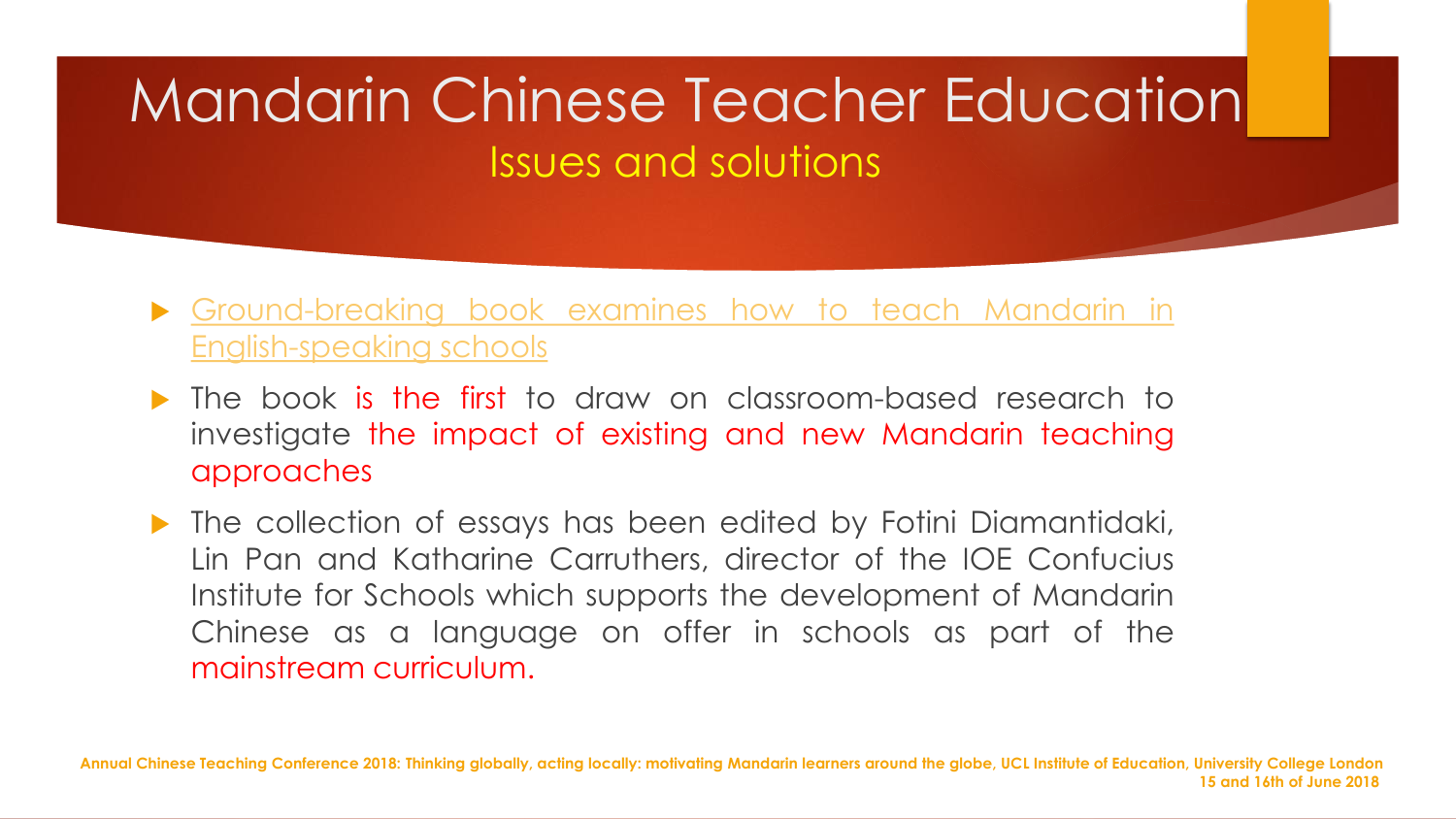# Mandarin Chinese Teacher Education Issues and solutions

- Ground-breaking book examines how to teach Mandarin in [English-speaking](http://www.ucl.ac.uk/ioe/news-events/news-pub/mar-2018/book-teaching-mandarin-english-speaking-schools) schools
- The book is the first to draw on classroom-based research to investigate the impact of existing and new Mandarin teaching approaches
- The collection of essays has been edited by Fotini Diamantidaki, Lin Pan and Katharine Carruthers, director of the IOE Confucius Institute for Schools which supports the development of Mandarin Chinese as a language on offer in schools as part of the mainstream curriculum.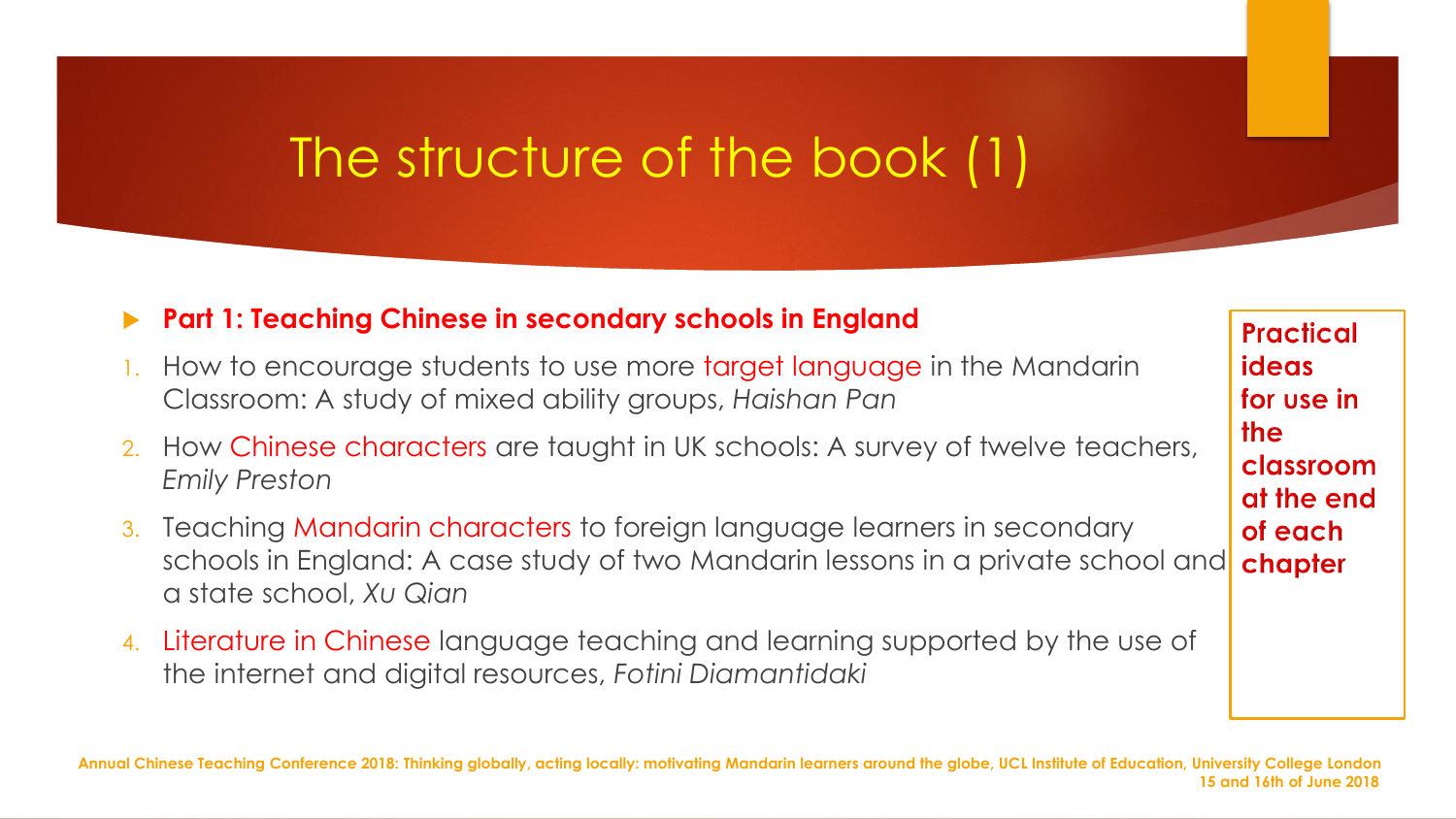## The structure of the book (1)

### **Part 1: Teaching Chinese in secondary schools in England**

- 1. How to encourage students to use more target language in the Mandarin Classroom: A study of mixed ability groups, *Haishan Pan*
- 2. How Chinese characters are taught in UK schools: A survey of twelve teachers, *Emily Preston*
- 3. Teaching Mandarin characters to foreign language learners in secondary schools in England: A case study of two Mandarin lessons in a private school and a state school, *Xu Qian*
- 4. Literature in Chinese language teaching and learning supported by the use of the internet and digital resources, *Fotini Diamantidaki*

Practical ideas for use in the classroom at the end of each chapter